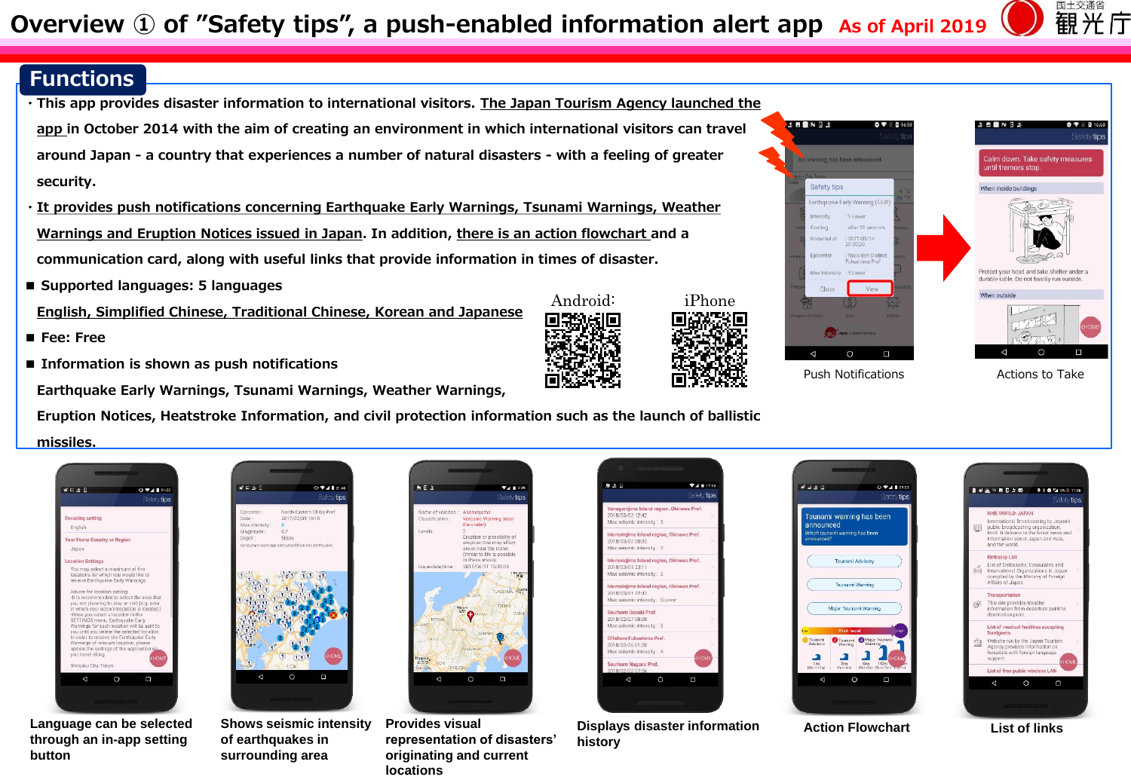## **Functions**

- **・This app provides disaster information to international visitors. The Japan Tourism Agency launched the app in October 2014 with the aim of creating an environment in which international visitors can travel around Japan - a country that experiences a number of natural disasters - with a feeling of greater security.**
- **・It provides push notifications concerning Earthquake Early Warnings, Tsunami Warnings, Weather Warnings and Eruption Notices issued in Japan. In addition, there is an action flowchart and a communication card, along with useful links that provide information in times of disaster.**
- **■ Supported languages: 5 languages**

**English, Simplified Chinese, Traditional Chinese, Korean and Japanese**

- **■ Fee: Free**
- **Information is shown as push notifications**

**Earthquake Early Warnings, Tsunami Warnings, Weather Warnings,**

**Eruption Notices, Heatstroke Information, and civil protection information such as the launch of ballistic** 

**missiles.**



**Language can be selected through an in-app setting button**



**of earthquakes in surrounding area**



 $\circ$ 

 $\Psi = 133$ 

Safety time

uusi<br>Tii

 $\Box$ 

Acamavama

.<br>Eruption or possibility of<br>eruption that may affect

areas near the crater (threat to life is possible

2015/06/11 15:30:00



Android: iPhone

Shows seismic intensity Provides visual **interpretion** Displays disaster information Action Flowchart List of links **history**







国土交通省 観光庁

> $\mathbf{A} \otimes \mathbf{B} \otimes \mathbf{A}$  $\Rightarrow$  tips